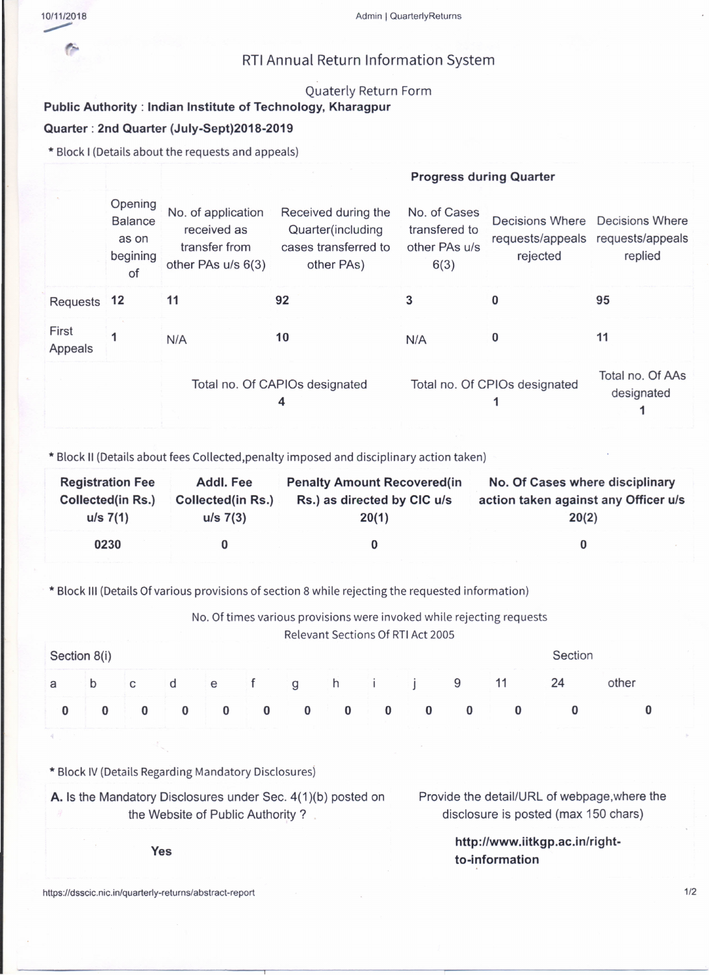r.

## RTIAnnual Return Information System

## Quaterly Return Form

## Public Authority: Indian Institute of Technology, Kharagpur Quarter: 2nd Quarter (July-Sept)201B-2019

\* Block I (Detailsabout the requests and appeals)

## Progress during Quarter

|                  | Opening<br><b>Balance</b><br>as on<br>begining<br>of | No. of application<br>received as<br>transfer from<br>other PAs u/s 6(3) | Received during the<br>Quarter(including<br>cases transferred to<br>other PAs) | No. of Cases<br>transfered to<br>other PAs u/s<br>6(3) | Decisions Where<br>rejected    | <b>Decisions Where</b><br>requests/appeals requests/appeals<br>replied |
|------------------|------------------------------------------------------|--------------------------------------------------------------------------|--------------------------------------------------------------------------------|--------------------------------------------------------|--------------------------------|------------------------------------------------------------------------|
| Requests 12      |                                                      | 11                                                                       | 92                                                                             |                                                        |                                | 95                                                                     |
| First<br>Appeals |                                                      | N/A                                                                      | 10                                                                             | N/A                                                    | 0                              | 11                                                                     |
|                  |                                                      |                                                                          | Total no. Of CAPIOs designated<br>4                                            | Total no. Of CPIOs designated                          | Total no. Of AAs<br>designated |                                                                        |

\* Block II (Details about fees Collected,penalty imposed and disciplinary action taken)

| <b>Registration Fee</b>  | Addl. Fee                | <b>Penalty Amount Recovered (in</b> | No. Of Cases where disciplinary      |  |  |  |  |
|--------------------------|--------------------------|-------------------------------------|--------------------------------------|--|--|--|--|
| <b>Collected(in Rs.)</b> | <b>Collected(in Rs.)</b> | Rs.) as directed by CIC u/s         | action taken against any Officer u/s |  |  |  |  |
| $u/s \ 7(1)$             | $u/s$ 7(3)               | 20(1)                               | 20(2)                                |  |  |  |  |
| 0230                     |                          |                                     |                                      |  |  |  |  |

\* Block III (Details Of various provisions of section 8 while rejecting the requested information)

|              |              |   |   |   |          |   | Relevant Sections Of RTI Act 2005 |   | No. Of times various provisions were invoked while rejecting requests |         |       |
|--------------|--------------|---|---|---|----------|---|-----------------------------------|---|-----------------------------------------------------------------------|---------|-------|
| Section 8(i) |              |   |   |   |          |   |                                   |   |                                                                       | Section |       |
| b            | $\mathbf{C}$ | d | e |   | a        | h |                                   | 9 |                                                                       | 24      | other |
|              |              |   |   | 0 | $\bf{0}$ |   |                                   |   |                                                                       |         |       |

\* Block IV (Details Regarding Mandatory Disclosures)

A. Is the Mandatory Disclosures under Sec. 4(1)(b) posted on the Website of Public Authority?

Provide the detail/URL of webpage, where the disclosure is posted (max 150 chars)

> http://www.iitkgp.ac.in/rightto-information

https:/Idsscic.nic.in/quarterly-returns/abstract-report *1/2*

Yes